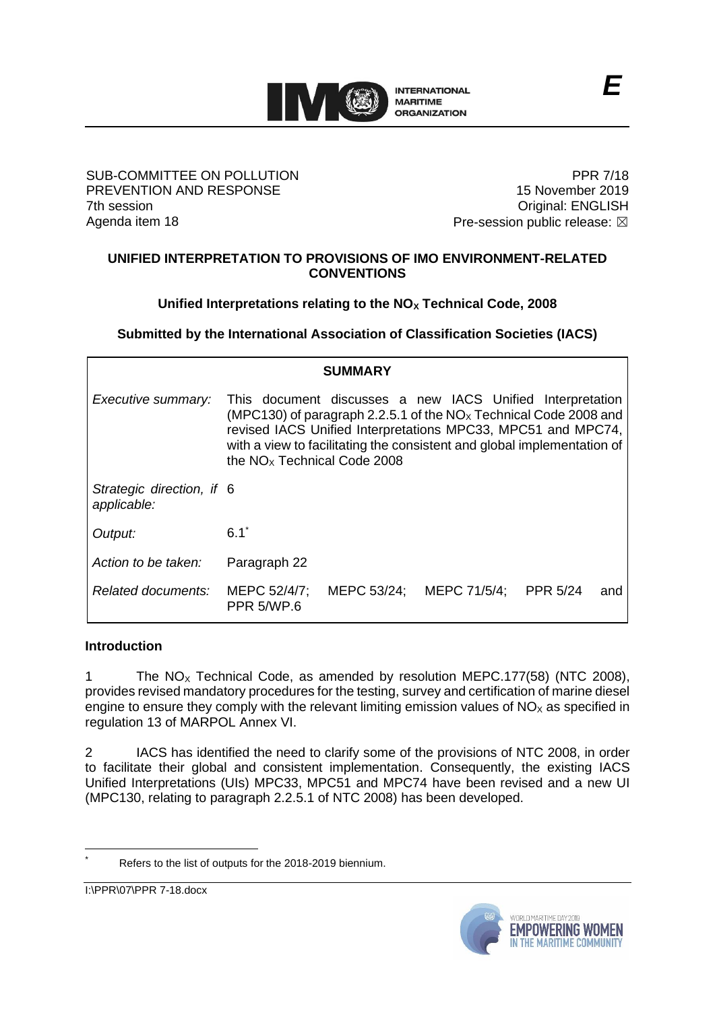

### SUB-COMMITTEE ON POLLUTION PREVENTION AND RESPONSE 7th session Agenda item 18

PPR 7/18 15 November 2019 Original: ENGLISH Pre-session public release:  $\boxtimes$ 

## **UNIFIED INTERPRETATION TO PROVISIONS OF IMO ENVIRONMENT-RELATED CONVENTIONS**

## **Unified Interpretations relating to the NO<sup>X</sup> Technical Code, 2008**

**Submitted by the International Association of Classification Societies (IACS)**

| SUMMARY                                  |                                                                                                                                                                                                                                                                                                             |             |              |                 |     |
|------------------------------------------|-------------------------------------------------------------------------------------------------------------------------------------------------------------------------------------------------------------------------------------------------------------------------------------------------------------|-------------|--------------|-----------------|-----|
| Executive summary:                       | This document discusses a new IACS Unified Interpretation<br>(MPC130) of paragraph 2.2.5.1 of the $NOx$ Technical Code 2008 and<br>revised IACS Unified Interpretations MPC33, MPC51 and MPC74,<br>with a view to facilitating the consistent and global implementation of<br>the $NOx$ Technical Code 2008 |             |              |                 |     |
| Strategic direction, if 6<br>applicable: |                                                                                                                                                                                                                                                                                                             |             |              |                 |     |
| Output:                                  | $6.1^{\degree}$                                                                                                                                                                                                                                                                                             |             |              |                 |     |
| Action to be taken:                      | Paragraph 22                                                                                                                                                                                                                                                                                                |             |              |                 |     |
| Related documents:                       | MEPC 52/4/7;<br><b>PPR 5/WP.6</b>                                                                                                                                                                                                                                                                           | MEPC 53/24; | MEPC 71/5/4; | <b>PPR 5/24</b> | and |

## **Introduction**

1 The  $NO<sub>x</sub>$  Technical Code, as amended by resolution MEPC.177(58) (NTC 2008), provides revised mandatory procedures for the testing, survey and certification of marine diesel engine to ensure they comply with the relevant limiting emission values of  $NO<sub>x</sub>$  as specified in regulation 13 of MARPOL Annex VI.

2 IACS has identified the need to clarify some of the provisions of NTC 2008, in order to facilitate their global and consistent implementation. Consequently, the existing IACS Unified Interpretations (UIs) MPC33, MPC51 and MPC74 have been revised and a new UI (MPC130, relating to paragraph 2.2.5.1 of NTC 2008) has been developed.

I:\PPR\07\PPR 7-18.docx



Refers to the list of outputs for the 2018-2019 biennium.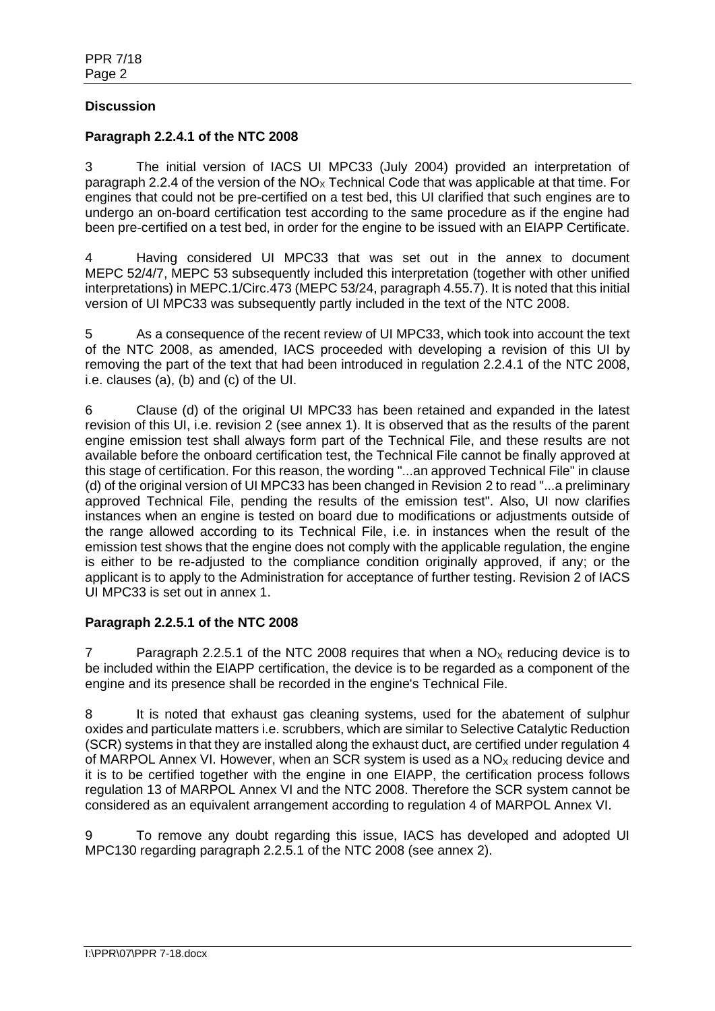## **Discussion**

## **Paragraph 2.2.4.1 of the NTC 2008**

3 The initial version of IACS UI MPC33 (July 2004) provided an interpretation of paragraph 2.2.4 of the version of the  $NO<sub>x</sub>$  Technical Code that was applicable at that time. For engines that could not be pre-certified on a test bed, this UI clarified that such engines are to undergo an on-board certification test according to the same procedure as if the engine had been pre-certified on a test bed, in order for the engine to be issued with an EIAPP Certificate.

4 Having considered UI MPC33 that was set out in the annex to document MEPC 52/4/7, MEPC 53 subsequently included this interpretation (together with other unified interpretations) in MEPC.1/Circ.473 (MEPC 53/24, paragraph 4.55.7). It is noted that this initial version of UI MPC33 was subsequently partly included in the text of the NTC 2008.

5 As a consequence of the recent review of UI MPC33, which took into account the text of the NTC 2008, as amended, IACS proceeded with developing a revision of this UI by removing the part of the text that had been introduced in regulation 2.2.4.1 of the NTC 2008, i.e. clauses (a), (b) and (c) of the UI.

6 Clause (d) of the original UI MPC33 has been retained and expanded in the latest revision of this UI, i.e. revision 2 (see annex 1). It is observed that as the results of the parent engine emission test shall always form part of the Technical File, and these results are not available before the onboard certification test, the Technical File cannot be finally approved at this stage of certification. For this reason, the wording "...an approved Technical File" in clause (d) of the original version of UI MPC33 has been changed in Revision 2 to read "...a preliminary approved Technical File, pending the results of the emission test". Also, UI now clarifies instances when an engine is tested on board due to modifications or adjustments outside of the range allowed according to its Technical File, i.e. in instances when the result of the emission test shows that the engine does not comply with the applicable regulation, the engine is either to be re-adjusted to the compliance condition originally approved, if any; or the applicant is to apply to the Administration for acceptance of further testing. Revision 2 of IACS UI MPC33 is set out in annex 1.

## **Paragraph 2.2.5.1 of the NTC 2008**

7 Paragraph 2.2.5.1 of the NTC 2008 requires that when a  $NO<sub>x</sub>$  reducing device is to be included within the EIAPP certification, the device is to be regarded as a component of the engine and its presence shall be recorded in the engine's Technical File.

8 It is noted that exhaust gas cleaning systems, used for the abatement of sulphur oxides and particulate matters i.e. scrubbers, which are similar to Selective Catalytic Reduction (SCR) systems in that they are installed along the exhaust duct, are certified under regulation 4 of MARPOL Annex VI. However, when an SCR system is used as a  $NO<sub>x</sub>$  reducing device and it is to be certified together with the engine in one EIAPP, the certification process follows regulation 13 of MARPOL Annex VI and the NTC 2008. Therefore the SCR system cannot be considered as an equivalent arrangement according to regulation 4 of MARPOL Annex VI.

9 To remove any doubt regarding this issue, IACS has developed and adopted UI MPC130 regarding paragraph 2.2.5.1 of the NTC 2008 (see annex 2).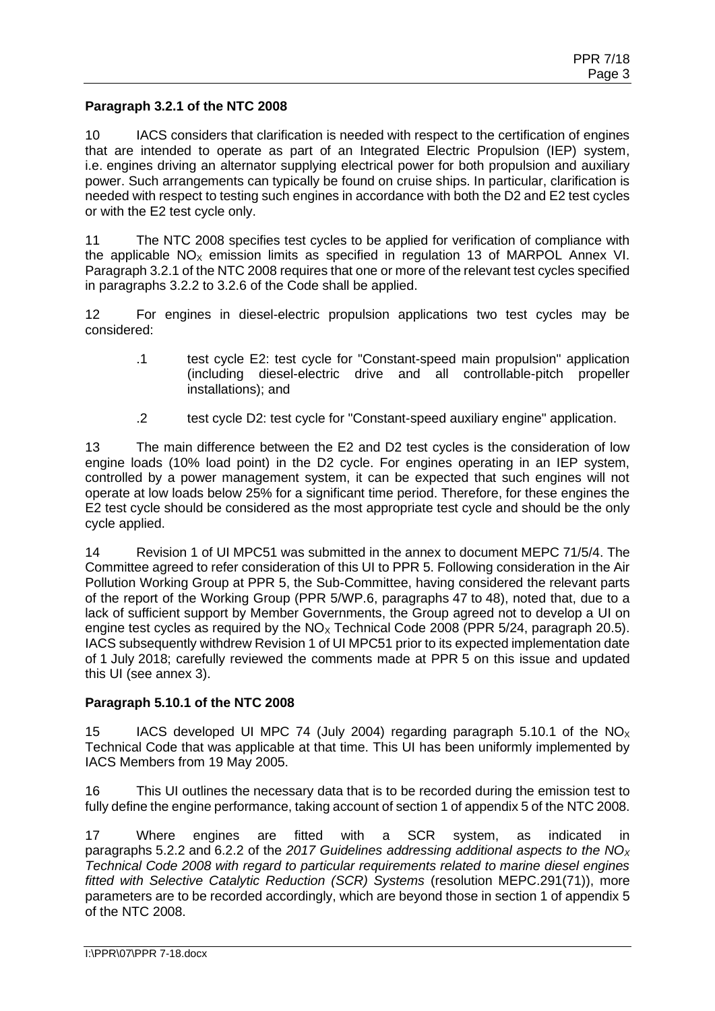## **Paragraph 3.2.1 of the NTC 2008**

10 IACS considers that clarification is needed with respect to the certification of engines that are intended to operate as part of an Integrated Electric Propulsion (IEP) system, i.e. engines driving an alternator supplying electrical power for both propulsion and auxiliary power. Such arrangements can typically be found on cruise ships. In particular, clarification is needed with respect to testing such engines in accordance with both the D2 and E2 test cycles or with the E2 test cycle only.

11 The NTC 2008 specifies test cycles to be applied for verification of compliance with the applicable  $NO<sub>x</sub>$  emission limits as specified in regulation 13 of MARPOL Annex VI. Paragraph 3.2.1 of the NTC 2008 requires that one or more of the relevant test cycles specified in paragraphs 3.2.2 to 3.2.6 of the Code shall be applied.

12 For engines in diesel-electric propulsion applications two test cycles may be considered:

- .1 test cycle E2: test cycle for "Constant-speed main propulsion" application (including diesel-electric drive and all controllable-pitch propeller installations); and
- .2 test cycle D2: test cycle for "Constant-speed auxiliary engine" application.

13 The main difference between the E2 and D2 test cycles is the consideration of low engine loads (10% load point) in the D2 cycle. For engines operating in an IEP system, controlled by a power management system, it can be expected that such engines will not operate at low loads below 25% for a significant time period. Therefore, for these engines the E2 test cycle should be considered as the most appropriate test cycle and should be the only cycle applied.

14 Revision 1 of UI MPC51 was submitted in the annex to document MEPC 71/5/4. The Committee agreed to refer consideration of this UI to PPR 5. Following consideration in the Air Pollution Working Group at PPR 5, the Sub-Committee, having considered the relevant parts of the report of the Working Group (PPR 5/WP.6, paragraphs 47 to 48), noted that, due to a lack of sufficient support by Member Governments, the Group agreed not to develop a UI on engine test cycles as required by the  $NO<sub>x</sub>$  Technical Code 2008 (PPR 5/24, paragraph 20.5). IACS subsequently withdrew Revision 1 of UI MPC51 prior to its expected implementation date of 1 July 2018; carefully reviewed the comments made at PPR 5 on this issue and updated this UI (see annex 3).

## **Paragraph 5.10.1 of the NTC 2008**

15 IACS developed UI MPC 74 (July 2004) regarding paragraph 5.10.1 of the  $NO<sub>x</sub>$ Technical Code that was applicable at that time. This UI has been uniformly implemented by IACS Members from 19 May 2005.

16 This UI outlines the necessary data that is to be recorded during the emission test to fully define the engine performance, taking account of section 1 of appendix 5 of the NTC 2008.

17 Where engines are fitted with a SCR system, as indicated in paragraphs 5.2.2 and 6.2.2 of the *2017 Guidelines addressing additional aspects to the NO<sup>X</sup> Technical Code 2008 with regard to particular requirements related to marine diesel engines fitted with Selective Catalytic Reduction (SCR) Systems* (resolution MEPC.291(71)), more parameters are to be recorded accordingly, which are beyond those in section 1 of appendix 5 of the NTC 2008.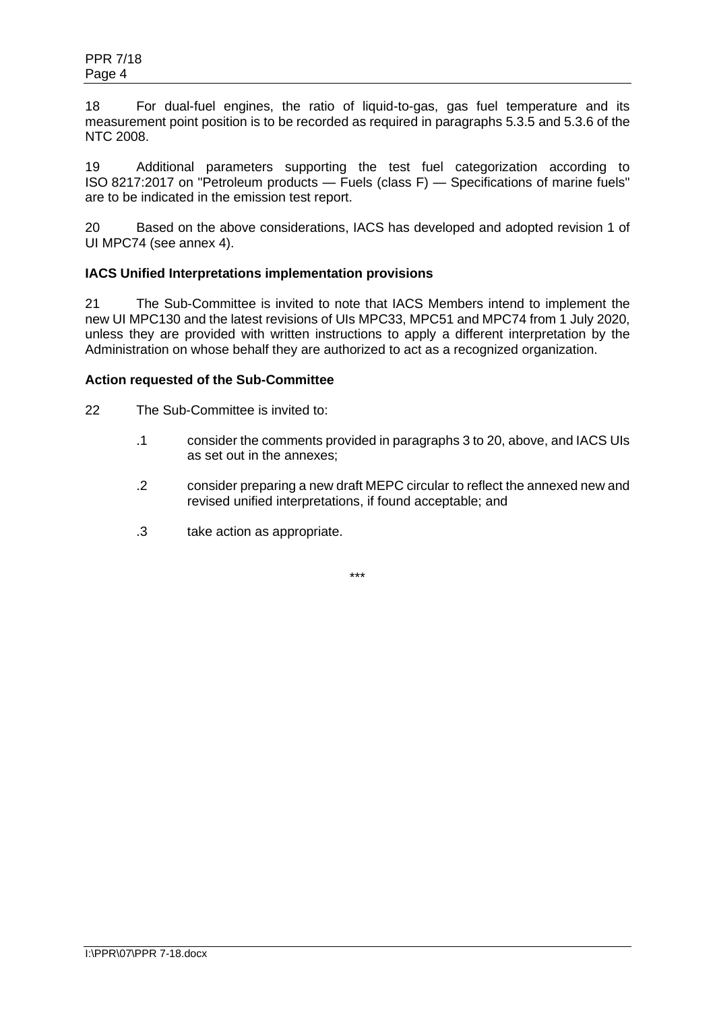18 For dual-fuel engines, the ratio of liquid-to-gas, gas fuel temperature and its measurement point position is to be recorded as required in paragraphs 5.3.5 and 5.3.6 of the NTC 2008.

19 Additional parameters supporting the test fuel categorization according to ISO 8217:2017 on "Petroleum products — Fuels (class F) — Specifications of marine fuels" are to be indicated in the emission test report.

20 Based on the above considerations, IACS has developed and adopted revision 1 of UI MPC74 (see annex 4).

## **IACS Unified Interpretations implementation provisions**

21 The Sub-Committee is invited to note that IACS Members intend to implement the new UI MPC130 and the latest revisions of UIs MPC33, MPC51 and MPC74 from 1 July 2020, unless they are provided with written instructions to apply a different interpretation by the Administration on whose behalf they are authorized to act as a recognized organization.

#### **Action requested of the Sub-Committee**

- 22 The Sub-Committee is invited to:
	- .1 consider the comments provided in paragraphs 3 to 20, above, and IACS UIs as set out in the annexes;
	- .2 consider preparing a new draft MEPC circular to reflect the annexed new and revised unified interpretations, if found acceptable; and
	- .3 take action as appropriate.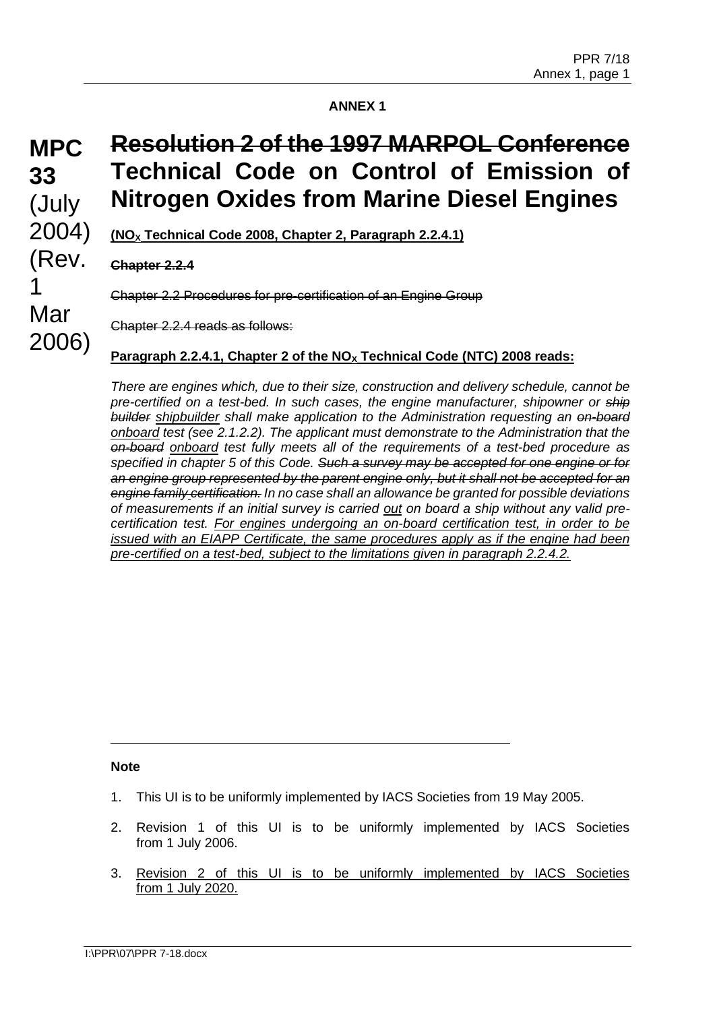# **MPC 33** (July 2004) (Rev. 1 Mar 2006)

# **Resolution 2 of the 1997 MARPOL Conference Technical Code on Control of Emission of Nitrogen Oxides from Marine Diesel Engines**

**(NO<sup>X</sup> Technical Code 2008, Chapter 2, Paragraph 2.2.4.1)**

## **Chapter 2.2.4**

Chapter 2.2 Procedures for pre-certification of an Engine Group

Chapter 2.2.4 reads as follows:

## **Paragraph 2.2.4.1, Chapter 2 of the NO<sup>X</sup> Technical Code (NTC) 2008 reads:**

*There are engines which, due to their size, construction and delivery schedule, cannot be pre-certified on a test-bed. In such cases, the engine manufacturer, shipowner or ship builder shipbuilder shall make application to the Administration requesting an on-board onboard test (see 2.1.2.2). The applicant must demonstrate to the Administration that the on-board onboard test fully meets all of the requirements of a test-bed procedure as specified in chapter 5 of this Code. Such a survey may be accepted for one engine or for an engine group represented by the parent engine only, but it shall not be accepted for an engine family certification. In no case shall an allowance be granted for possible deviations of measurements if an initial survey is carried out on board a ship without any valid precertification test. For engines undergoing an on-board certification test, in order to be issued with an EIAPP Certificate, the same procedures apply as if the engine had been pre-certified on a test-bed, subject to the limitations given in paragraph 2.2.4.2.*

## **Note**

- 1. This UI is to be uniformly implemented by IACS Societies from 19 May 2005.
- 2. Revision 1 of this UI is to be uniformly implemented by IACS Societies from 1 July 2006.
- 3. Revision 2 of this UI is to be uniformly implemented by IACS Societies from 1 July 2020.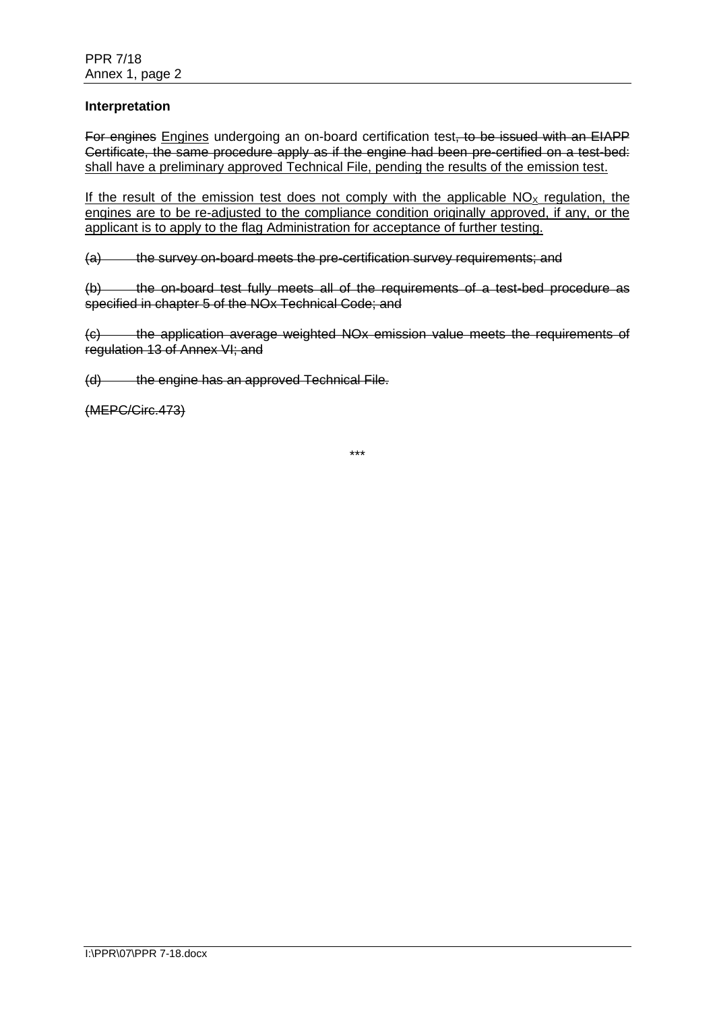#### **Interpretation**

For engines Engines undergoing an on-board certification test, to be issued with an EIAPP Certificate, the same procedure apply as if the engine had been pre-certified on a test-bed: shall have a preliminary approved Technical File, pending the results of the emission test.

If the result of the emission test does not comply with the applicable  $NO<sub>x</sub>$  regulation, the engines are to be re-adjusted to the compliance condition originally approved, if any, or the applicant is to apply to the flag Administration for acceptance of further testing.

(a) the survey on-board meets the pre-certification survey requirements; and

(b) the on-board test fully meets all of the requirements of a test-bed procedure as specified in chapter 5 of the NOx Technical Code; and

(c) the application average weighted NOx emission value meets the requirements of regulation 13 of Annex VI; and

(d) the engine has an approved Technical File.

(MEPC/Circ.473)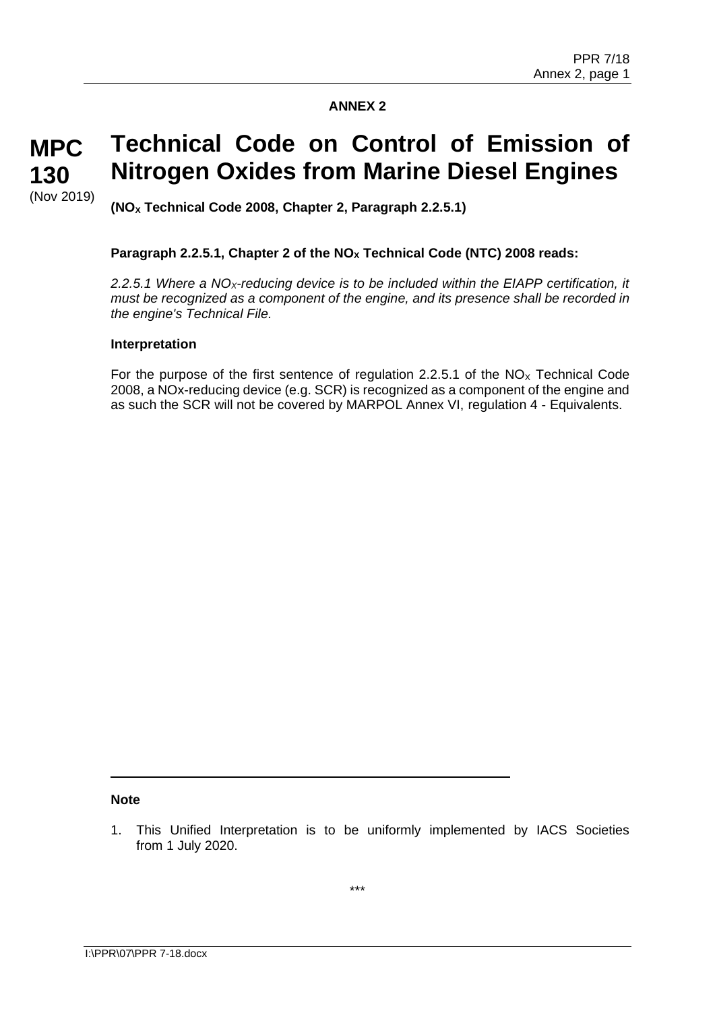#### **Technical Code on Control of Emission of Nitrogen Oxides from Marine Diesel Engines MPC 130**

**(NO<sup>X</sup> Technical Code 2008, Chapter 2, Paragraph 2.2.5.1)**

## **Paragraph 2.2.5.1, Chapter 2 of the NO<sup>X</sup> Technical Code (NTC) 2008 reads:**

*2.2.5.1 Where a NOX-reducing device is to be included within the EIAPP certification, it must be recognized as a component of the engine, and its presence shall be recorded in the engine's Technical File.*

#### **Interpretation**

(Nov 2019)

For the purpose of the first sentence of regulation 2.2.5.1 of the  $NO<sub>x</sub>$  Technical Code 2008, a NOx-reducing device (e.g. SCR) is recognized as a component of the engine and as such the SCR will not be covered by MARPOL Annex VI, regulation 4 - Equivalents.

#### **Note**

<sup>1.</sup> This Unified Interpretation is to be uniformly implemented by IACS Societies from 1 July 2020.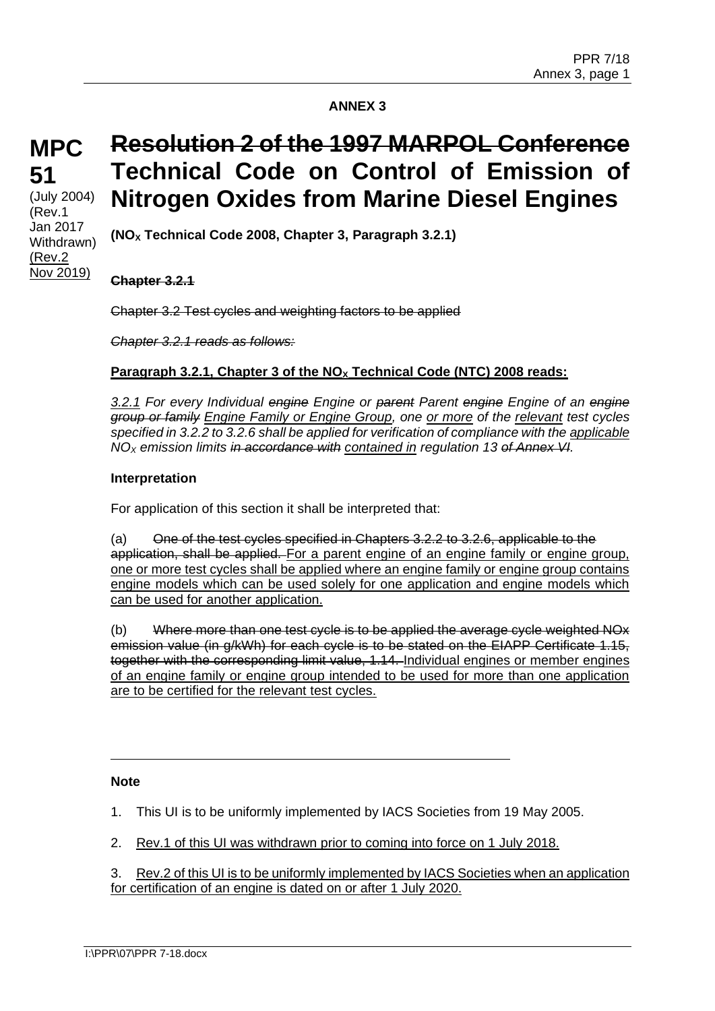## **MPC 51** (July 2004)

(Rev.1 Jan 2017 Withdrawn) (Rev.2 Nov 2019)

# **Resolution 2 of the 1997 MARPOL Conference Technical Code on Control of Emission of Nitrogen Oxides from Marine Diesel Engines**

**(NO<sup>X</sup> Technical Code 2008, Chapter 3, Paragraph 3.2.1)**

**Chapter 3.2.1**

Chapter 3.2 Test cycles and weighting factors to be applied

*Chapter 3.2.1 reads as follows:*

#### **Paragraph 3.2.1, Chapter 3 of the NO<sup>X</sup> Technical Code (NTC) 2008 reads:**

*3.2.1 For every Individual engine Engine or parent Parent engine Engine of an engine group or family Engine Family or Engine Group, one or more of the relevant test cycles specified in 3.2.2 to 3.2.6 shall be applied for verification of compliance with the applicable NO<sup>X</sup> emission limits in accordance with contained in regulation 13 of Annex VI.*

#### **Interpretation**

For application of this section it shall be interpreted that:

(a) One of the test cycles specified in Chapters  $3.2.2$  to  $3.2.6$ , applicable to the application, shall be applied. For a parent engine of an engine family or engine group, one or more test cycles shall be applied where an engine family or engine group contains engine models which can be used solely for one application and engine models which can be used for another application.

(b) Where more than one test cycle is to be applied the average cycle weighted NOx emission value (in g/kWh) for each cycle is to be stated on the EIAPP Certificate 1.15, together with the corresponding limit value, 1.14. Individual engines or member engines of an engine family or engine group intended to be used for more than one application are to be certified for the relevant test cycles.

#### **Note**

1. This UI is to be uniformly implemented by IACS Societies from 19 May 2005.

2. Rev.1 of this UI was withdrawn prior to coming into force on 1 July 2018.

3. Rev.2 of this UI is to be uniformly implemented by IACS Societies when an application for certification of an engine is dated on or after 1 July 2020.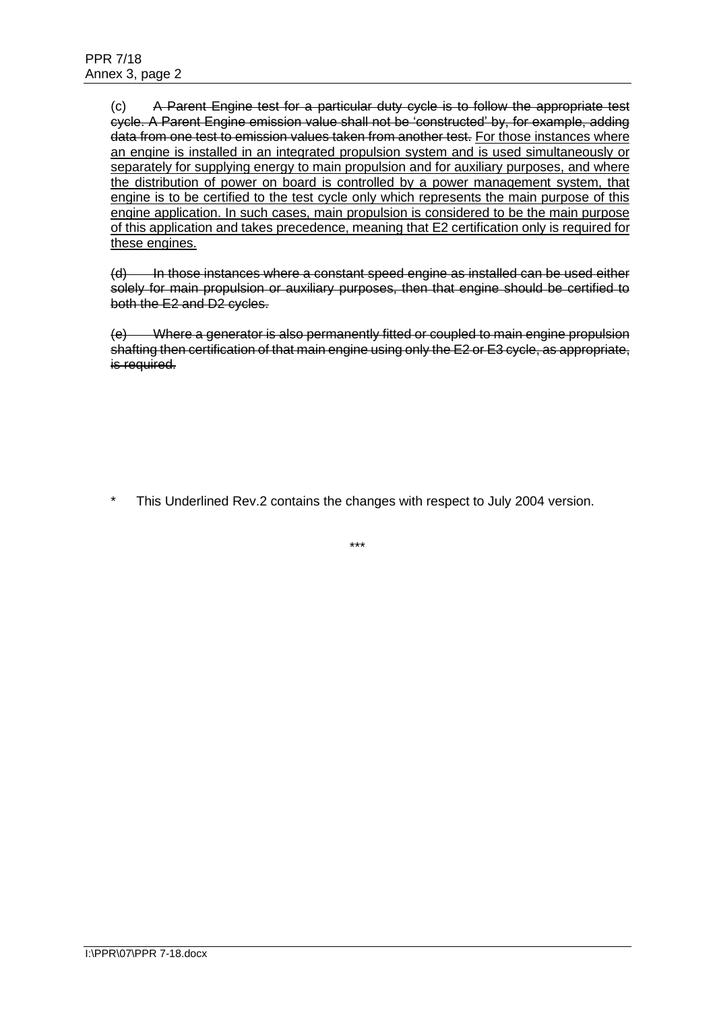(c) A Parent Engine test for a particular duty cycle is to follow the appropriate test cycle. A Parent Engine emission value shall not be 'constructed' by, for example, adding data from one test to emission values taken from another test. For those instances where an engine is installed in an integrated propulsion system and is used simultaneously or separately for supplying energy to main propulsion and for auxiliary purposes, and where the distribution of power on board is controlled by a power management system, that engine is to be certified to the test cycle only which represents the main purpose of this engine application. In such cases, main propulsion is considered to be the main purpose of this application and takes precedence, meaning that E2 certification only is required for these engines.

(d) In those instances where a constant speed engine as installed can be used either solely for main propulsion or auxiliary purposes, then that engine should be certified to both the E2 and D2 cycles.

(e) Where a generator is also permanently fitted or coupled to main engine propulsion shafting then certification of that main engine using only the E2 or E3 cycle, as appropriate, is required.

This Underlined Rev.2 contains the changes with respect to July 2004 version.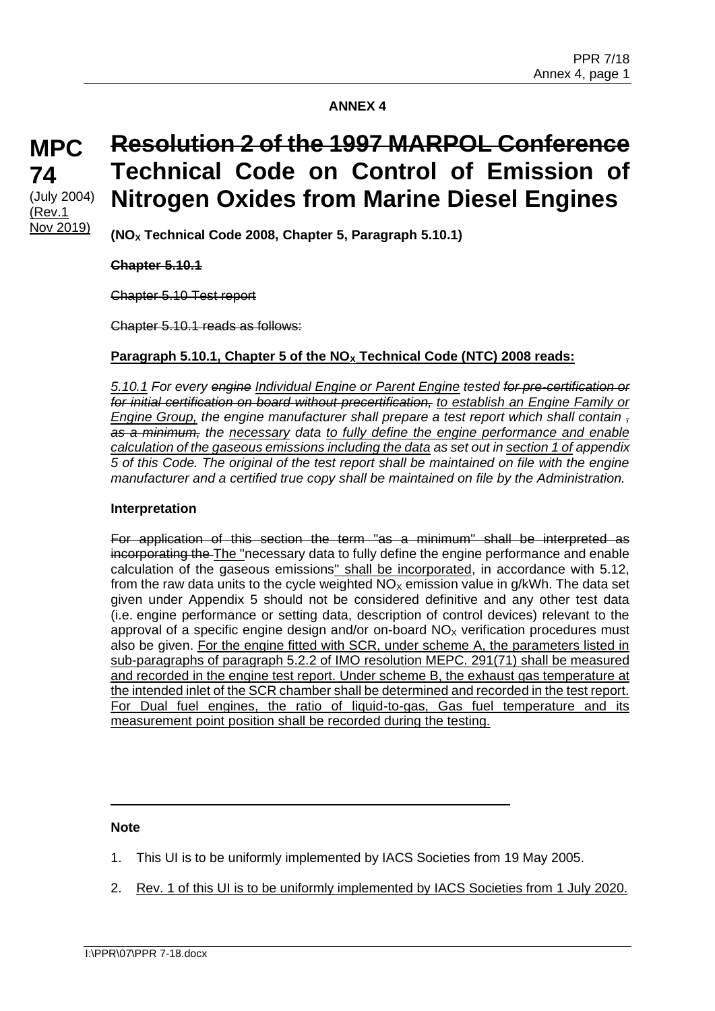## **MPC 74** (July 2004) (Rev.1 Nov 2019)

# **Resolution 2 of the 1997 MARPOL Conference Technical Code on Control of Emission of Nitrogen Oxides from Marine Diesel Engines**

**(NO<sup>X</sup> Technical Code 2008, Chapter 5, Paragraph 5.10.1)**

## **Chapter 5.10.1**

Chapter 5.10 Test report

Chapter 5.10.1 reads as follows:

## **Paragraph 5.10.1, Chapter 5 of the NO<sup>X</sup> Technical Code (NTC) 2008 reads:**

*5.10.1 For every engine Individual Engine or Parent Engine tested for pre-certification or for initial certification on board without precertification, to establish an Engine Family or Engine Group, the engine manufacturer shall prepare a test report which shall contain , as a minimum, the necessary data to fully define the engine performance and enable calculation of the gaseous emissions including the data as set out in section 1 of appendix 5 of this Code. The original of the test report shall be maintained on file with the engine manufacturer and a certified true copy shall be maintained on file by the Administration.*

#### **Interpretation**

For application of this section the term "as a minimum" shall be interpreted as incorporating the The "necessary data to fully define the engine performance and enable calculation of the gaseous emissions" shall be incorporated, in accordance with 5.12, from the raw data units to the cycle weighted  $NO<sub>X</sub>$  emission value in g/kWh. The data set given under Appendix 5 should not be considered definitive and any other test data (i.e. engine performance or setting data, description of control devices) relevant to the approval of a specific engine design and/or on-board  $NO<sub>x</sub>$  verification procedures must also be given. For the engine fitted with SCR, under scheme A, the parameters listed in sub-paragraphs of paragraph 5.2.2 of IMO resolution MEPC. 291(71) shall be measured and recorded in the engine test report. Under scheme B, the exhaust gas temperature at the intended inlet of the SCR chamber shall be determined and recorded in the test report. For Dual fuel engines, the ratio of liquid-to-gas, Gas fuel temperature and its measurement point position shall be recorded during the testing.

#### **Note**

- 1. This UI is to be uniformly implemented by IACS Societies from 19 May 2005.
- 2. Rev. 1 of this UI is to be uniformly implemented by IACS Societies from 1 July 2020.